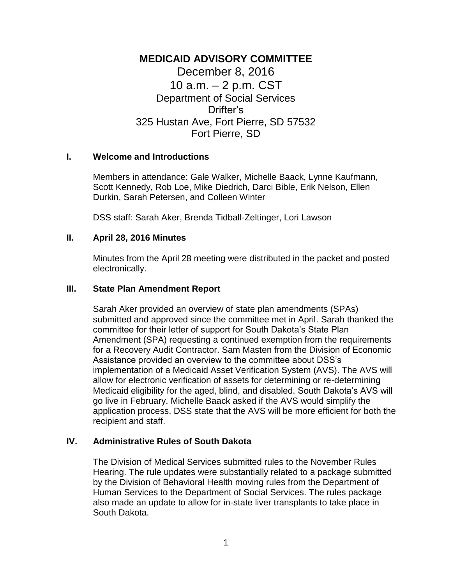# **MEDICAID ADVISORY COMMITTEE** December 8, 2016 10 a.m. – 2 p.m. CST Department of Social Services Drifter's 325 Hustan Ave, Fort Pierre, SD 57532 Fort Pierre, SD

# **I. Welcome and Introductions**

Members in attendance: Gale Walker, Michelle Baack, Lynne Kaufmann, Scott Kennedy, Rob Loe, Mike Diedrich, Darci Bible, Erik Nelson, Ellen Durkin, Sarah Petersen, and Colleen Winter

DSS staff: Sarah Aker, Brenda Tidball-Zeltinger, Lori Lawson

### **II. April 28, 2016 Minutes**

Minutes from the April 28 meeting were distributed in the packet and posted electronically.

#### **III. State Plan Amendment Report**

Sarah Aker provided an overview of state plan amendments (SPAs) submitted and approved since the committee met in April. Sarah thanked the committee for their letter of support for South Dakota's State Plan Amendment (SPA) requesting a continued exemption from the requirements for a Recovery Audit Contractor. Sam Masten from the Division of Economic Assistance provided an overview to the committee about DSS's implementation of a Medicaid Asset Verification System (AVS). The AVS will allow for electronic verification of assets for determining or re-determining Medicaid eligibility for the aged, blind, and disabled. South Dakota's AVS will go live in February. Michelle Baack asked if the AVS would simplify the application process. DSS state that the AVS will be more efficient for both the recipient and staff.

# **IV. Administrative Rules of South Dakota**

The Division of Medical Services submitted rules to the November Rules Hearing. The rule updates were substantially related to a package submitted by the Division of Behavioral Health moving rules from the Department of Human Services to the Department of Social Services. The rules package also made an update to allow for in-state liver transplants to take place in South Dakota.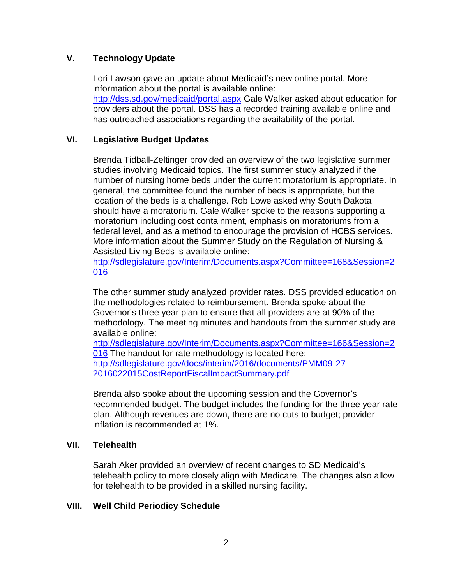# **V. Technology Update**

Lori Lawson gave an update about Medicaid's new online portal. More information about the portal is available online: <http://dss.sd.gov/medicaid/portal.aspx> Gale Walker asked about education for providers about the portal. DSS has a recorded training available online and has outreached associations regarding the availability of the portal.

# **VI. Legislative Budget Updates**

Brenda Tidball-Zeltinger provided an overview of the two legislative summer studies involving Medicaid topics. The first summer study analyzed if the number of nursing home beds under the current moratorium is appropriate. In general, the committee found the number of beds is appropriate, but the location of the beds is a challenge. Rob Lowe asked why South Dakota should have a moratorium. Gale Walker spoke to the reasons supporting a moratorium including cost containment, emphasis on moratoriums from a federal level, and as a method to encourage the provision of HCBS services. More information about the Summer Study on the Regulation of Nursing & Assisted Living Beds is available online:

[http://sdlegislature.gov/Interim/Documents.aspx?Committee=168&Session=2](http://sdlegislature.gov/Interim/Documents.aspx?Committee=168&Session=2016) [016](http://sdlegislature.gov/Interim/Documents.aspx?Committee=168&Session=2016)

The other summer study analyzed provider rates. DSS provided education on the methodologies related to reimbursement. Brenda spoke about the Governor's three year plan to ensure that all providers are at 90% of the methodology. The meeting minutes and handouts from the summer study are available online:

[http://sdlegislature.gov/Interim/Documents.aspx?Committee=166&Session=2](http://sdlegislature.gov/Interim/Documents.aspx?Committee=166&Session=2016) [016](http://sdlegislature.gov/Interim/Documents.aspx?Committee=166&Session=2016) The handout for rate methodology is located here: [http://sdlegislature.gov/docs/interim/2016/documents/PMM09-27-](http://sdlegislature.gov/docs/interim/2016/documents/PMM09-27-2016022015CostReportFiscalImpactSummary.pdf) [2016022015CostReportFiscalImpactSummary.pdf](http://sdlegislature.gov/docs/interim/2016/documents/PMM09-27-2016022015CostReportFiscalImpactSummary.pdf)

Brenda also spoke about the upcoming session and the Governor's recommended budget. The budget includes the funding for the three year rate plan. Although revenues are down, there are no cuts to budget; provider inflation is recommended at 1%.

# **VII. Telehealth**

Sarah Aker provided an overview of recent changes to SD Medicaid's telehealth policy to more closely align with Medicare. The changes also allow for telehealth to be provided in a skilled nursing facility.

# **VIII. Well Child Periodicy Schedule**